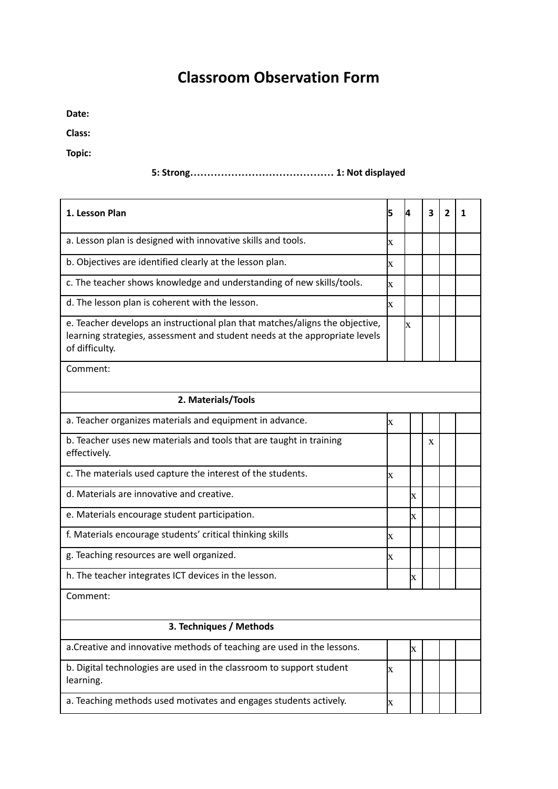## **Classroom Observation Form**

**Date:**

**Class:**

**Topic:**

## **5: Strong…………………………………… 1: Not displayed**

| 1. Lesson Plan                                                                                                                                                                | 5                       | 4            | 3 | $\mathbf{2}$ | 1 |  |  |  |
|-------------------------------------------------------------------------------------------------------------------------------------------------------------------------------|-------------------------|--------------|---|--------------|---|--|--|--|
| a. Lesson plan is designed with innovative skills and tools.                                                                                                                  | $\mathbf x$             |              |   |              |   |  |  |  |
| b. Objectives are identified clearly at the lesson plan.                                                                                                                      | $\mathbf x$             |              |   |              |   |  |  |  |
| c. The teacher shows knowledge and understanding of new skills/tools.                                                                                                         | $\overline{\mathbf{X}}$ |              |   |              |   |  |  |  |
| d. The lesson plan is coherent with the lesson.                                                                                                                               | X                       |              |   |              |   |  |  |  |
| e. Teacher develops an instructional plan that matches/aligns the objective,<br>learning strategies, assessment and student needs at the appropriate levels<br>of difficulty. |                         | X            |   |              |   |  |  |  |
| Comment:                                                                                                                                                                      |                         |              |   |              |   |  |  |  |
| 2. Materials/Tools                                                                                                                                                            |                         |              |   |              |   |  |  |  |
| a. Teacher organizes materials and equipment in advance.                                                                                                                      | $\overline{\mathbf{X}}$ |              |   |              |   |  |  |  |
| b. Teacher uses new materials and tools that are taught in training<br>effectively.                                                                                           |                         |              | X |              |   |  |  |  |
| c. The materials used capture the interest of the students.                                                                                                                   | $\overline{\mathbf{X}}$ |              |   |              |   |  |  |  |
| d. Materials are innovative and creative.                                                                                                                                     |                         | Ιx           |   |              |   |  |  |  |
| e. Materials encourage student participation.                                                                                                                                 |                         | X            |   |              |   |  |  |  |
| f. Materials encourage students' critical thinking skills                                                                                                                     | lx                      |              |   |              |   |  |  |  |
| g. Teaching resources are well organized.                                                                                                                                     | $\mathbf x$             |              |   |              |   |  |  |  |
| h. The teacher integrates ICT devices in the lesson.                                                                                                                          |                         | $\bf{X}$     |   |              |   |  |  |  |
| Comment:                                                                                                                                                                      |                         |              |   |              |   |  |  |  |
| 3. Techniques / Methods                                                                                                                                                       |                         |              |   |              |   |  |  |  |
| a. Creative and innovative methods of teaching are used in the lessons.                                                                                                       |                         | $\mathbf{x}$ |   |              |   |  |  |  |
| b. Digital technologies are used in the classroom to support student<br>learning.                                                                                             | X                       |              |   |              |   |  |  |  |
| a. Teaching methods used motivates and engages students actively.                                                                                                             | X                       |              |   |              |   |  |  |  |